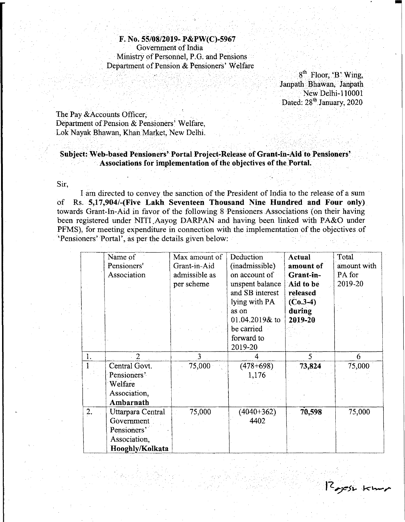F. No. 55/08/2019-P&PW(C)-5967 Government of India Ministry of Personnel, P.G. and Pensions Department of Pension & Pensioners' Welfare

> 8<sup>th</sup> Floor, 'B' Wing *:"i>·".,·" .:., .... i.'--'-",.'.,·,··.\_.··".,'·,'.,"., ... '* Janpath Bhawan, Janpath New Delhi-l1000l Dated: 28<sup>th</sup> January, 2020

> > 2 yesh kum

The Pay &Accounts Officer, Department of Pension & Pensioners' Welfare, Lok Nayak Bhawan, Khan Market, New Delhi.

## Subject: Web-based Pensioners' Portal Project-Release of Grant-in-Aid to Pensioners' Associations for implementation of the objectives of the Portal.

Sir,

I am directed to convey the sanction of the President of India to the release of a sum of Rs. 5,17,904/-(Five Lakh Seventeen Thousand Nine Hundred and Four only) towards Grant-In-Aid in favor of the following 8 Pensioners Associations (on their having been registered under NITI Aayog DARPAN and having been linked with PA&O under PFMS), for meeting expenditure in connection with the implementation of the objectives of 'Pensioners' Portal', as per the details given below:

|    | Name of           | Max amount of | Deduction       | <b>Actual</b> | Total       |
|----|-------------------|---------------|-----------------|---------------|-------------|
|    | Pensioners'       | Grant-in-Aid  | (inadmissible)  | amount of     | amount with |
|    | Association       | admissible as | on account of   | Grant-in-     | PA for      |
|    |                   | per scheme    | unspent balance | Aid to be     | 2019-20     |
|    |                   |               | and SB interest | released      |             |
|    |                   |               | lying with PA   | $(C_0, 3-4)$  |             |
|    |                   |               | as on           | during        |             |
|    |                   |               | 01.04.2019& to  | 2019-20       |             |
|    |                   |               | be carried      |               |             |
|    |                   |               | forward to      |               |             |
|    |                   |               | 2019-20         |               |             |
|    |                   |               |                 |               |             |
| 1. | $\overline{2}$    | 3             |                 | 5             | 6           |
|    | Central Govt.     | 75,000        | $(478+698)$     | 73,824        | 75,000      |
|    | Pensioners'       |               | 1.176           |               |             |
|    | Welfare           |               |                 |               |             |
|    | Association,      |               |                 |               |             |
|    | Ambarnath         |               |                 |               |             |
| 2. | Uttarpara Central | 75,000        | $(4040 + 362)$  | 70,598        | 75,000      |
|    | Government        |               | 4402            |               |             |
|    | Pensioners'       |               |                 |               |             |
|    | Association,      |               |                 |               |             |
|    | Hooghly/Kolkata   |               |                 |               |             |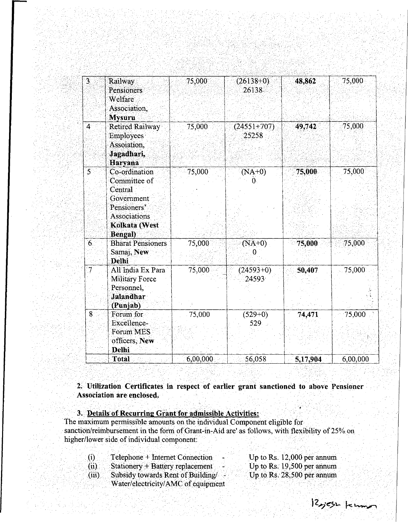| 3.                       | Railway<br>Pensioners<br><b>Welfare</b><br>Association,<br><b>Mysuru</b>                                                         | 75,000   | $(26138+0)$<br>26138   | 48,862   | 75,000   |
|--------------------------|----------------------------------------------------------------------------------------------------------------------------------|----------|------------------------|----------|----------|
| $\overline{\mathbf{4}}$  | <b>Retired Railway</b><br><b>Employees</b><br>Assoiation.<br>Jagadhari,<br>Haryana                                               | 75,000   | $(24551+707)$<br>25258 | 49,742   | 75,000   |
| $\overline{S}$           | Co-ordination<br>Committee of<br>Central<br>Government<br>Pensioners'<br><b>Associations</b><br>Kolkata (West<br><b>Bengal</b> ) | 75,000   | $(NA+0)$<br>0.         | 75,000   | 75,000   |
| $6^{\circ}$              | <b>Bharat Pensioners</b><br>Samaj, New<br>Delhi                                                                                  | 75,000   | $(NA+0)$               | 75,000   | 75,000   |
| $\overline{\mathcal{I}}$ | All India Ex Para<br><b>Military Force</b><br>Personnel,<br><b>Jalandhar</b><br>(Punjab)                                         | 75,000   | $(24593+0)$<br>24593   | 50,407   | 75,000   |
| $\overline{8}$           | Forum for<br>Excellence-<br>Forum MES<br>officers, New<br><b>Delhi</b>                                                           | 75,000   | $(529+0)$<br>529       | 74,471   | 75,000   |
|                          | Total                                                                                                                            | 6,00,000 | 56,058                 | 5,17,904 | 6,00,000 |

**2,UtilizationCertificates in respect of earlier grant sanctioned to above Pensioner Association are enclosed.**

**3. Details of Recurring Grant for admissible Activities** The maximum permissible amounts on the individual Component eligible for sanction/reimbursement in the form of Grant-in-Aid are' as follows, with flexibility of 25% on higher/lower side of individual component:

| $\bf{(i)}$<br>Telephone + Internet Connection | Up to Rs. $12,000$ per annum |
|-----------------------------------------------|------------------------------|
| (ii)<br>Stationery + Battery replacement      | Up to Rs. $19,500$ per annum |
| Subsidy towards Rent of Building/<br>(iii)    | Up to Rs. 28,500 per annum   |
| Water/electricity/AMC of equipment            |                              |

 $12$  yest kims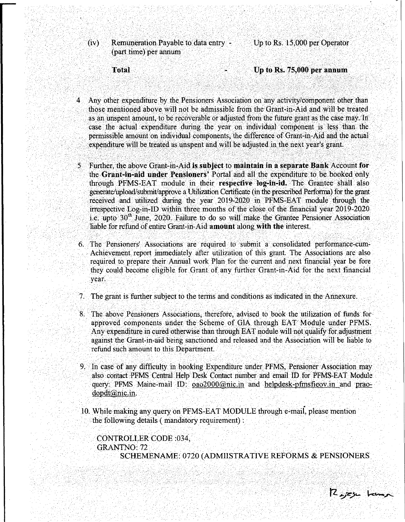(iv) Remuneration Payable to data entry - (part time) per annum

Up to Rs. 15,000 per Operator

**Total** 

Up to Rs. 75,000 per annum

- Any other expenditure by the Pensioners Association on any activity/component other than those mentioned above will not be admissible from the Grant-in-Aid and will be treated as an unspent amount, to be recoverable or adjusted from the future grant as the case may. In: case the actual expenditure during the year on individual component is less' than the permissible amount on individual components, the difference of Grant-in-Aid and the actual expenditure will be treated as unspent and will be adjusted in the next year's grant.
- 5 Further, the above Grant-in-Aid is subject to maintain ina separate Bank Account for the Grant-in-aid under Pensioners' Portal and all the expenditure to be booked only through PFMS-EAT module in their respective log-in-id. The Grantee shall also generate/upload/submit/approve a Utilization Certificate (in the prescribed Performa) for the grant received and utilized during the year 2019-2020 in PFMS-EAT module through the irrespective Log-in- ID within three months of the close of the financial year 2019-2020 i.e. upto  $30<sup>th</sup>$  June, 2020. Failure to do so will make the Grantee Pensioner Association liable for refund of entire Grant-in-Aid amount along with the interest.
- 6. The Pensioners' Associations are required to submit a consolidated performance-cum-Achievement report immediately after utilization of this grant. The Associations are also required to prepare their Annual work Plan for the current and next financial year be fore they could become eligible for Grant of any further Grant-in-Aid for the next financial year.
- 7. The grant is further subject to the terms and conditions as indicated in the Annexure.
- 8. The above Pensioners Associations, therefore, advised to book the utilization of funds for approved components under the Scheme of GIA through EAT Module under PFMS. Any expenditure in cured otherwise than through EAT nodule will not qualify for adjustment against the Grant-in-aid being sanctioned and released and the Association will be liable to refund such amount to this Department. .
- 9. In case of any difficulty in booking Expenditure under PFMS, Pensioner Association may also contact PFMS Central Help Desk Contact number and email ID for PFMS-EAT Module query: PFMS Maine-mail ID: 0ao2000@nic.in and helpdesk-pfmsfieov.in and praodopdt@nic.in.
- 10. While making any query on PFMS-EAT MODULE through e-maii, please mention the following details ( mandatory requirement) :

CONTROLLER CODE :034, GRANTNO: 72 SCHEMENAME: 0720 (ADMIISTRA TIVE REFORMS & PENSIONERS

R<sub>oj</sub>eju kump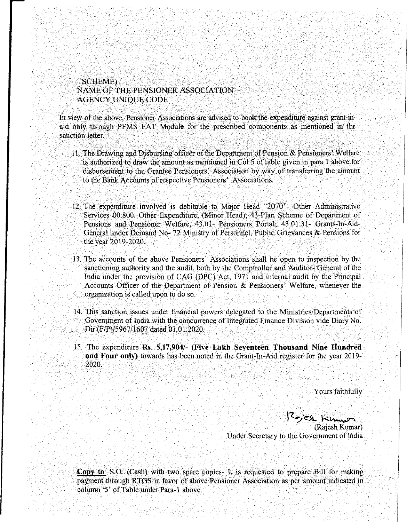## SCHEME) NAME OF THE PENSIONER ASSOCIATION - AGENCY UNIQUE CODE

In view of the above, Pensioner Associations are advised to book the expenditure against grant-inaid only through PFMS EAT Module for the prescribed components as mentioned in the sanction letter.

- 11. The Drawing and Disbursing officer of the Department of Pension & Pensioners' Welfare is authorized to draw the amount as mentioned in Col 5 oftable given in para 1 above for disbursement to the Grantee Pensioners' Association by way of transferring the amount to the Bank Accounts of respective Pensioners' Associations.
- 12. The expenditure involved is debitable to Major Head "2070"- Other Administrative Services *00.800.* Other Expenditure, (Minor Head); 43-Plan Scheme of Department of Pensions and Pensioner Welfare, 43.01- Pensioners Portal; 43.01.31- Grants-In-Aid-General under Demand No- 72 Ministry of Personnel, Public Grievances & Pensions for the year 2019-2020.
- 13. The accounts of the above Pensioners' Associations shall be open to inspection by the sanctioning authority and the audit, both by the Comptroller and Auditor- General of the India under the provision of CAG (DPC) Act, 1971 and internal audit by the Principal Accounts Officer of the Department of Pension & Pensioners' Welfare, whenever the organization is called upon to do so.
- 14. This sanction issues under financial powers delegated to the Ministries/Departments of Government of India with the concurrence of Integrated Finance Division vide Diary No. Dir *(FIP)/5967/1607* dated 01.01.2020.
- 15. The expenditure Rs. *5,17,904/-* (Five Lakh Seventeen Thousand Nine Hundred and Four only) towards has been noted in the Grant-In-Aid register for the year 2019- 2020.

Yours faithfully

*)-Z~/~.s\..*k~ (Rajesh Kumar) Under Secretary to the Government of India

**Copy to:** S.O. (Cash) with two spare copies. It is requested to prepare Bill for making payment through RTGS in favor of above Pensioner Association as per amount indicated in column '5' of Table under Para-l above.